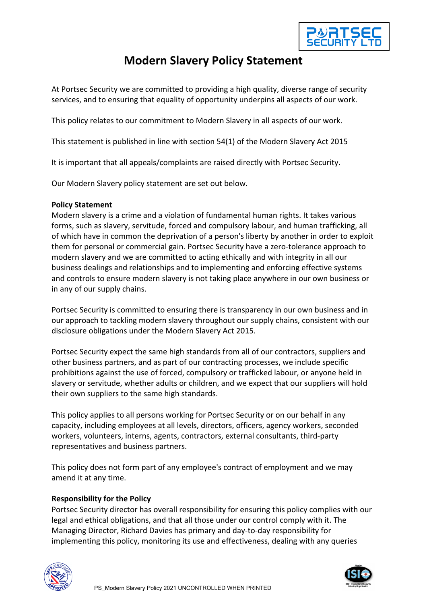

# **Modern Slavery Policy Statement**

At Portsec Security we are committed to providing a high quality, diverse range of security services, and to ensuring that equality of opportunity underpins all aspects of our work.

This policy relates to our commitment to Modern Slavery in all aspects of our work.

This statement is published in line with section 54(1) of the Modern Slavery Act 2015

It is important that all appeals/complaints are raised directly with Portsec Security.

Our Modern Slavery policy statement are set out below.

### **Policy Statement**

Modern slavery is a crime and a violation of fundamental human rights. It takes various forms, such as slavery, servitude, forced and compulsory labour, and human trafficking, all of which have in common the deprivation of a person's liberty by another in order to exploit them for personal or commercial gain. Portsec Security have a zero-tolerance approach to modern slavery and we are committed to acting ethically and with integrity in all our business dealings and relationships and to implementing and enforcing effective systems and controls to ensure modern slavery is not taking place anywhere in our own business or in any of our supply chains.

Portsec Security is committed to ensuring there is transparency in our own business and in our approach to tackling modern slavery throughout our supply chains, consistent with our disclosure obligations under the Modern Slavery Act 2015.

Portsec Security expect the same high standards from all of our contractors, suppliers and other business partners, and as part of our contracting processes, we include specific prohibitions against the use of forced, compulsory or trafficked labour, or anyone held in slavery or servitude, whether adults or children, and we expect that our suppliers will hold their own suppliers to the same high standards.

This policy applies to all persons working for Portsec Security or on our behalf in any capacity, including employees at all levels, directors, officers, agency workers, seconded workers, volunteers, interns, agents, contractors, external consultants, third-party representatives and business partners.

This policy does not form part of any employee's contract of employment and we may amend it at any time.

## **Responsibility for the Policy**

Portsec Security director has overall responsibility for ensuring this policy complies with our legal and ethical obligations, and that all those under our control comply with it. The Managing Director, Richard Davies has primary and day-to-day responsibility for implementing this policy, monitoring its use and effectiveness, dealing with any queries



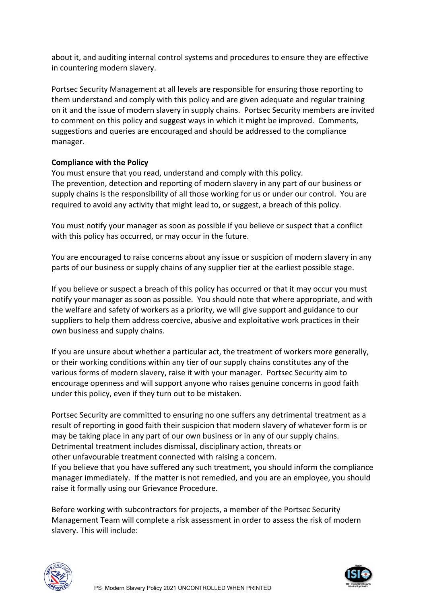about it, and auditing internal control systems and procedures to ensure they are effective in countering modern slavery.

Portsec Security Management at all levels are responsible for ensuring those reporting to them understand and comply with this policy and are given adequate and regular training on it and the issue of modern slavery in supply chains. Portsec Security members are invited to comment on this policy and suggest ways in which it might be improved. Comments, suggestions and queries are encouraged and should be addressed to the compliance manager.

## **Compliance with the Policy**

You must ensure that you read, understand and comply with this policy. The prevention, detection and reporting of modern slavery in any part of our business or supply chains is the responsibility of all those working for us or under our control. You are required to avoid any activity that might lead to, or suggest, a breach of this policy.

You must notify your manager as soon as possible if you believe or suspect that a conflict with this policy has occurred, or may occur in the future.

You are encouraged to raise concerns about any issue or suspicion of modern slavery in any parts of our business or supply chains of any supplier tier at the earliest possible stage.

If you believe or suspect a breach of this policy has occurred or that it may occur you must notify your manager as soon as possible. You should note that where appropriate, and with the welfare and safety of workers as a priority, we will give support and guidance to our suppliers to help them address coercive, abusive and exploitative work practices in their own business and supply chains.

If you are unsure about whether a particular act, the treatment of workers more generally, or their working conditions within any tier of our supply chains constitutes any of the various forms of modern slavery, raise it with your manager. Portsec Security aim to encourage openness and will support anyone who raises genuine concerns in good faith under this policy, even if they turn out to be mistaken.

Portsec Security are committed to ensuring no one suffers any detrimental treatment as a result of reporting in good faith their suspicion that modern slavery of whatever form is or may be taking place in any part of our own business or in any of our supply chains. Detrimental treatment includes dismissal, disciplinary action, threats or other unfavourable treatment connected with raising a concern.

If you believe that you have suffered any such treatment, you should inform the compliance manager immediately. If the matter is not remedied, and you are an employee, you should raise it formally using our Grievance Procedure.

Before working with subcontractors for projects, a member of the Portsec Security Management Team will complete a risk assessment in order to assess the risk of modern slavery. This will include: